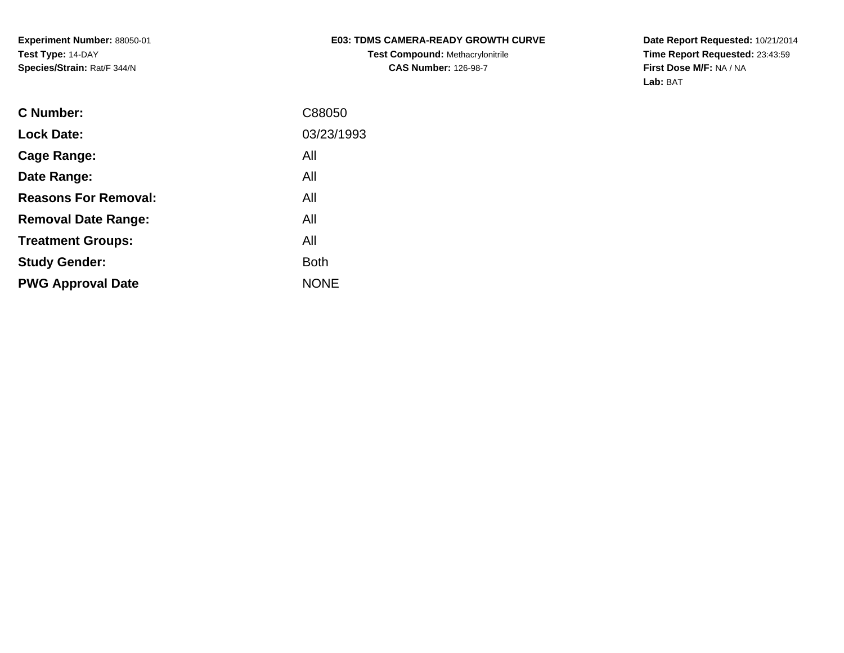# **E03: TDMS CAMERA-READY GROWTH CURVE**

**Test Compound:** Methacrylonitrile**CAS Number:** 126-98-7

**Date Report Requested:** 10/21/2014 **Time Report Requested:** 23:43:59**First Dose M/F:** NA / NA**Lab:** BAT

| <b>C</b> Number:            | C88050      |
|-----------------------------|-------------|
| <b>Lock Date:</b>           | 03/23/1993  |
| Cage Range:                 | All         |
| Date Range:                 | All         |
| <b>Reasons For Removal:</b> | All         |
| <b>Removal Date Range:</b>  | All         |
| <b>Treatment Groups:</b>    | All         |
| <b>Study Gender:</b>        | <b>Both</b> |
| <b>PWG Approval Date</b>    | <b>NONE</b> |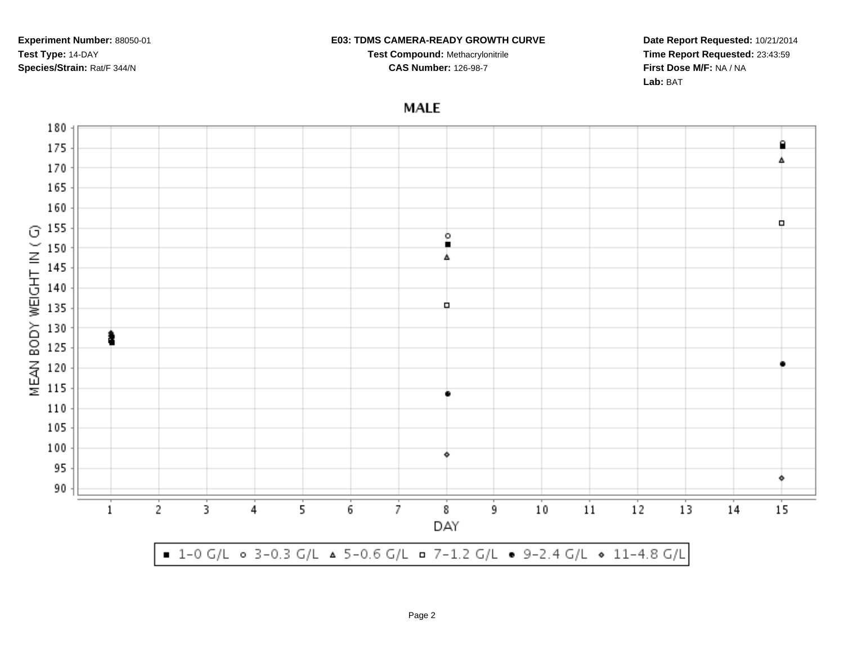#### **E03: TDMS CAMERA-READY GROWTH CURVE**

**Test Compound:** Methacrylonitrile**CAS Number:** 126-98-7

**Date Report Requested:** 10/21/2014**Time Report Requested:** 23:43:59**First Dose M/F:** NA / NA**Lab:** BAT

# **MALE**

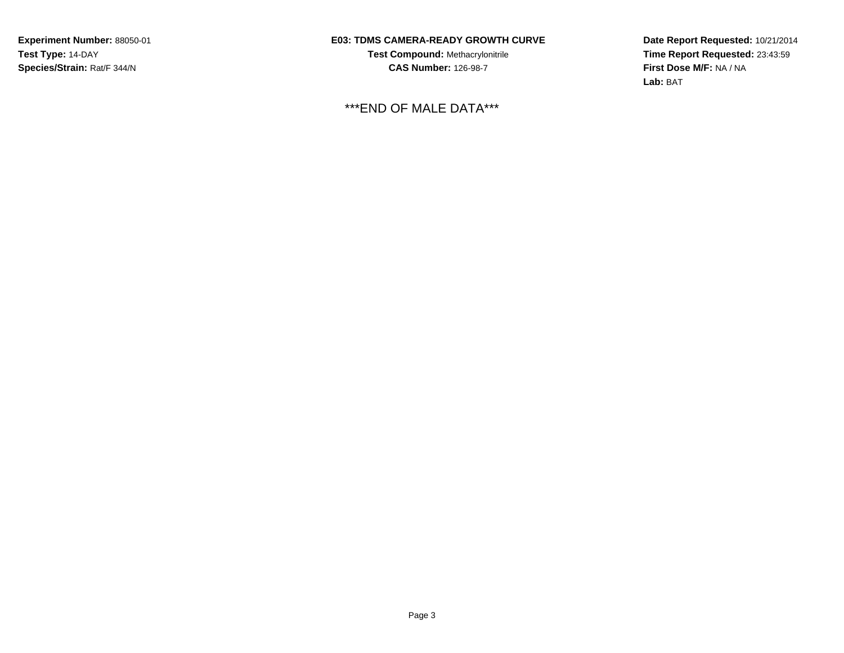### **E03: TDMS CAMERA-READY GROWTH CURVE**

**Test Compound:** Methacrylonitrile**CAS Number:** 126-98-7

\*\*\*END OF MALE DATA\*\*\*

**Date Report Requested:** 10/21/2014 **Time Report Requested:** 23:43:59**First Dose M/F:** NA / NA**Lab:** BAT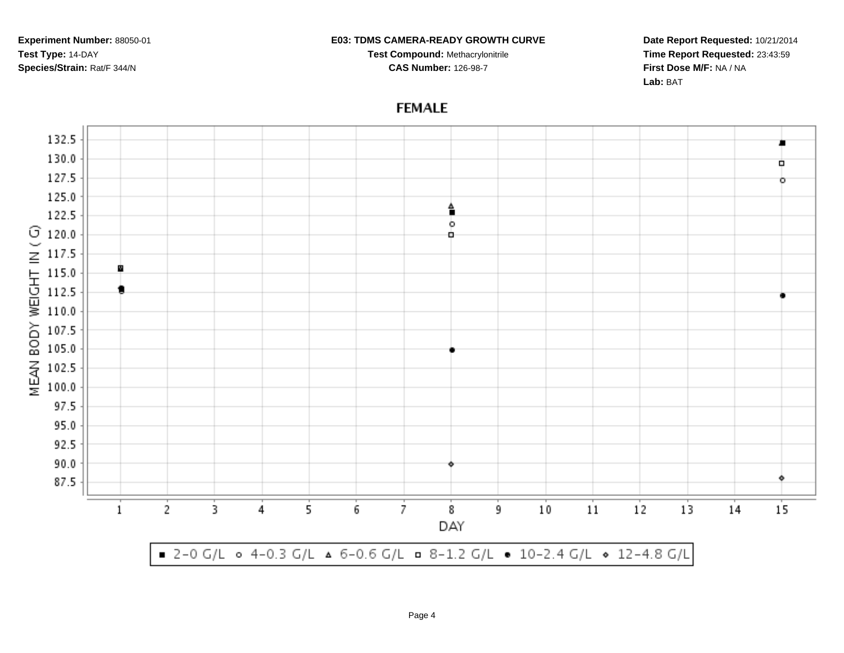#### **E03: TDMS CAMERA-READY GROWTH CURVE**

**Test Compound:** Methacrylonitrile**CAS Number:** 126-98-7

**Date Report Requested:** 10/21/2014**Time Report Requested:** 23:43:59**First Dose M/F:** NA / NA**Lab:** BAT

## **FEMALE**